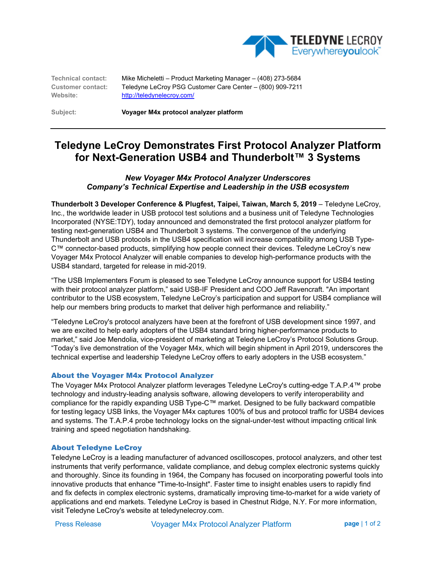

**Technical contact:** Mike Micheletti – Product Marketing Manager – (408) 273-5684 **Customer contact:** Teledyne LeCroy PSG Customer Care Center – (800) 909-7211 **Website:** http://teledynelecroy.com/

**Subject: Voyager M4x protocol analyzer platform** 

# **Teledyne LeCroy Demonstrates First Protocol Analyzer Platform for Next-Generation USB4 and Thunderbolt™ 3 Systems**

### *New Voyager M4x Protocol Analyzer Underscores Company's Technical Expertise and Leadership in the USB ecosystem*

**Thunderbolt 3 Developer Conference & Plugfest, Taipei, Taiwan, March 5, 2019** – Teledyne LeCroy, Inc., the worldwide leader in USB protocol test solutions and a business unit of Teledyne Technologies Incorporated (NYSE:TDY), today announced and demonstrated the first protocol analyzer platform for testing next-generation USB4 and Thunderbolt 3 systems. The convergence of the underlying Thunderbolt and USB protocols in the USB4 specification will increase compatibility among USB Type-C™ connector-based products, simplifying how people connect their devices. Teledyne LeCroy's new Voyager M4x Protocol Analyzer will enable companies to develop high-performance products with the USB4 standard, targeted for release in mid-2019.

"The USB Implementers Forum is pleased to see Teledyne LeCroy announce support for USB4 testing with their protocol analyzer platform," said USB-IF President and COO Jeff Ravencraft. "An important contributor to the USB ecosystem, Teledyne LeCroy's participation and support for USB4 compliance will help our members bring products to market that deliver high performance and reliability."

"Teledyne LeCroy's protocol analyzers have been at the forefront of USB development since 1997, and we are excited to help early adopters of the USB4 standard bring higher-performance products to market," said Joe Mendolia, vice-president of marketing at Teledyne LeCroy's Protocol Solutions Group. "Today's live demonstration of the Voyager M4x, which will begin shipment in April 2019, underscores the technical expertise and leadership Teledyne LeCroy offers to early adopters in the USB ecosystem."

#### About the Voyager M4x Protocol Analyzer

The Voyager M4x Protocol Analyzer platform leverages Teledyne LeCroy's cutting-edge T.A.P.4™ probe technology and industry-leading analysis software, allowing developers to verify interoperability and compliance for the rapidly expanding USB Type-C™ market. Designed to be fully backward compatible for testing legacy USB links, the Voyager M4x captures 100% of bus and protocol traffic for USB4 devices and systems. The T.A.P.4 probe technology locks on the signal-under-test without impacting critical link training and speed negotiation handshaking.

#### About Teledyne LeCroy

Teledyne LeCroy is a leading manufacturer of advanced oscilloscopes, protocol analyzers, and other test instruments that verify performance, validate compliance, and debug complex electronic systems quickly and thoroughly. Since its founding in 1964, the Company has focused on incorporating powerful tools into innovative products that enhance "Time-to-Insight". Faster time to insight enables users to rapidly find and fix defects in complex electronic systems, dramatically improving time-to-market for a wide variety of applications and end markets. Teledyne LeCroy is based in Chestnut Ridge, N.Y. For more information, visit Teledyne LeCroy's website at teledynelecroy.com.